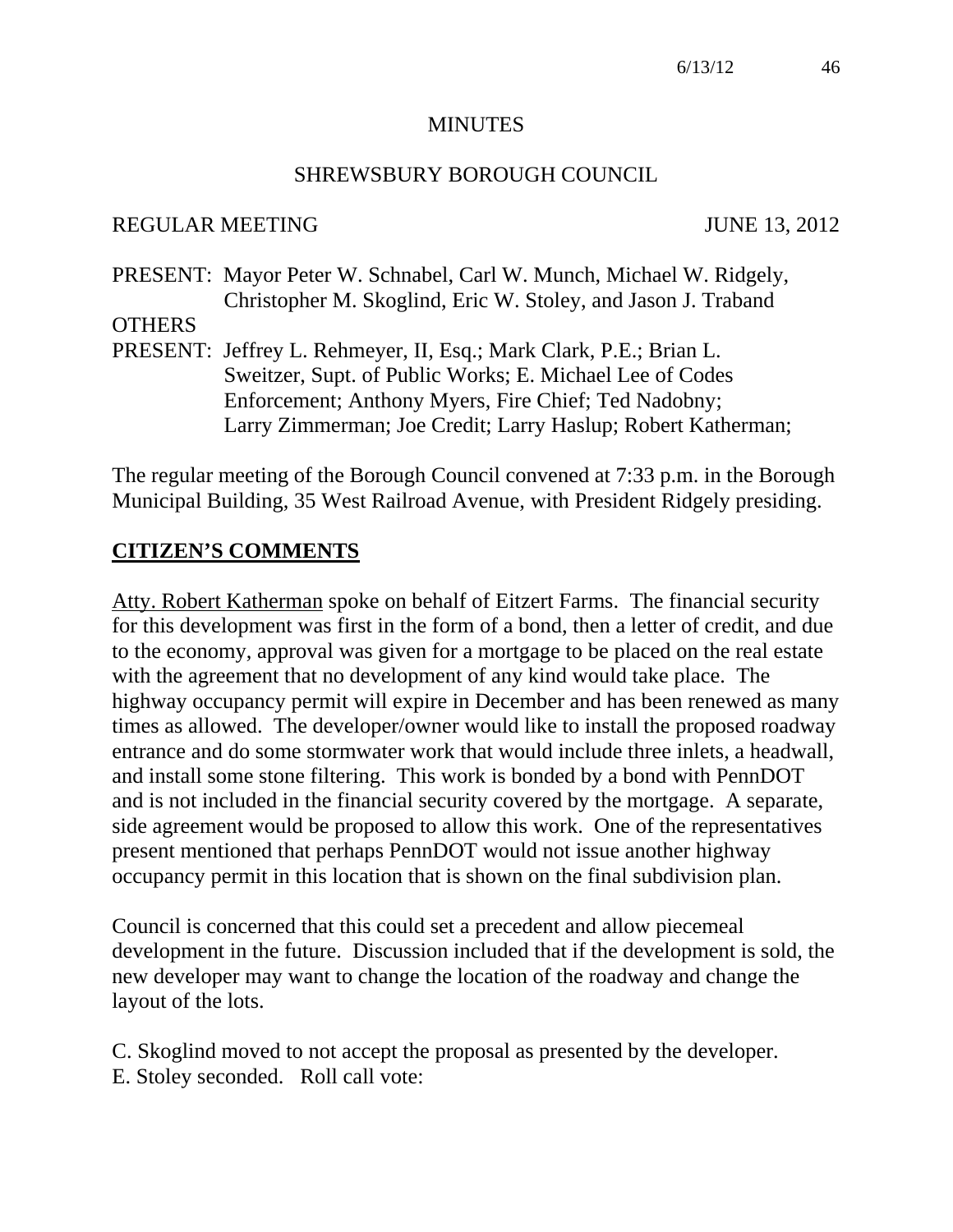#### **MINUTES**

#### SHREWSBURY BOROUGH COUNCIL

#### REGULAR MEETING JUNE 13, 2012

PRESENT: Mayor Peter W. Schnabel, Carl W. Munch, Michael W. Ridgely, Christopher M. Skoglind, Eric W. Stoley, and Jason J. Traband

- **OTHERS**
- PRESENT: Jeffrey L. Rehmeyer, II, Esq.; Mark Clark, P.E.; Brian L. Sweitzer, Supt. of Public Works; E. Michael Lee of Codes Enforcement; Anthony Myers, Fire Chief; Ted Nadobny; Larry Zimmerman; Joe Credit; Larry Haslup; Robert Katherman;

The regular meeting of the Borough Council convened at 7:33 p.m. in the Borough Municipal Building, 35 West Railroad Avenue, with President Ridgely presiding.

#### **CITIZEN'S COMMENTS**

Atty. Robert Katherman spoke on behalf of Eitzert Farms. The financial security for this development was first in the form of a bond, then a letter of credit, and due to the economy, approval was given for a mortgage to be placed on the real estate with the agreement that no development of any kind would take place. The highway occupancy permit will expire in December and has been renewed as many times as allowed. The developer/owner would like to install the proposed roadway entrance and do some stormwater work that would include three inlets, a headwall, and install some stone filtering. This work is bonded by a bond with PennDOT and is not included in the financial security covered by the mortgage. A separate, side agreement would be proposed to allow this work. One of the representatives present mentioned that perhaps PennDOT would not issue another highway occupancy permit in this location that is shown on the final subdivision plan.

Council is concerned that this could set a precedent and allow piecemeal development in the future. Discussion included that if the development is sold, the new developer may want to change the location of the roadway and change the layout of the lots.

C. Skoglind moved to not accept the proposal as presented by the developer. E. Stoley seconded. Roll call vote: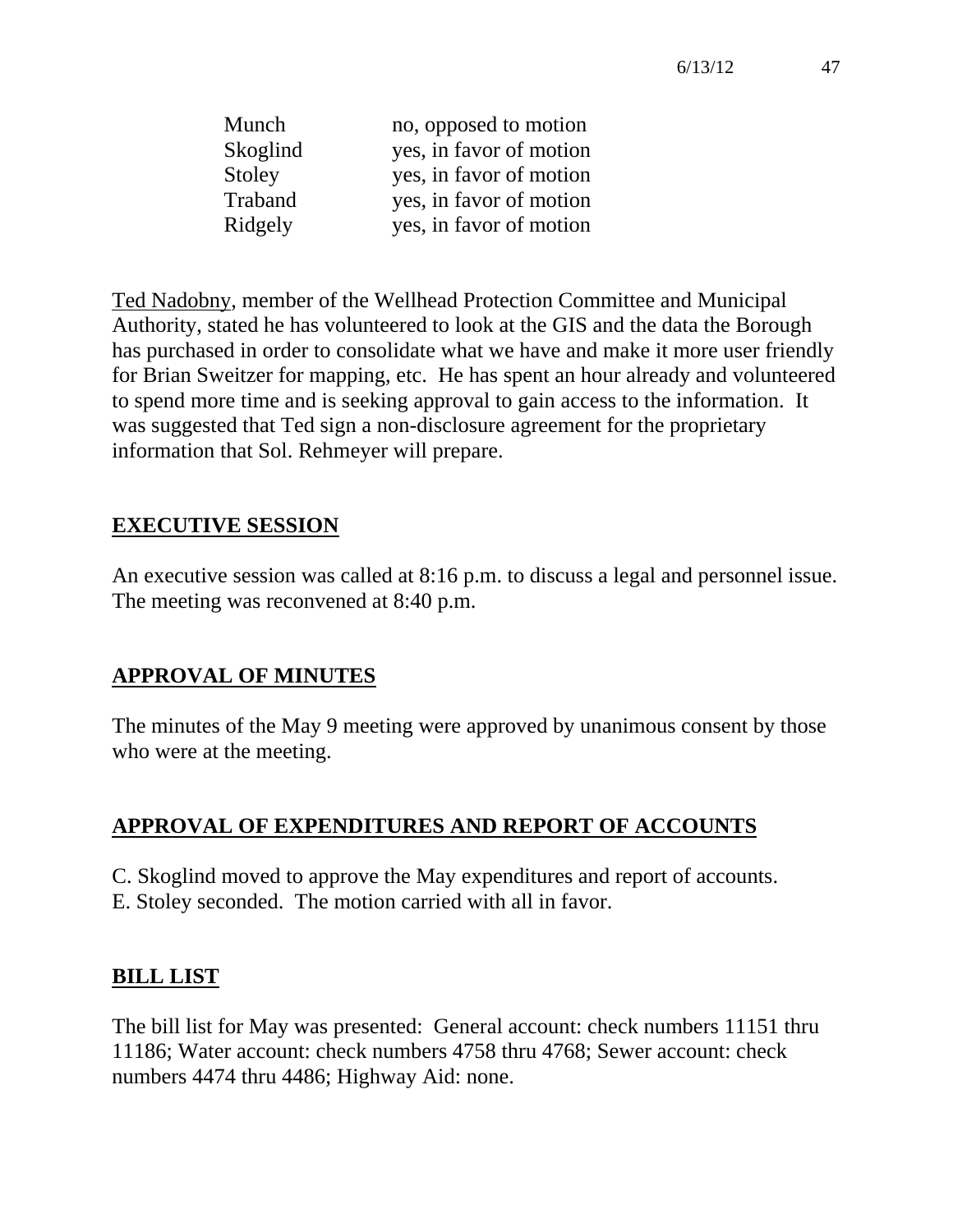| Munch    | no, opposed to motion   |
|----------|-------------------------|
| Skoglind | yes, in favor of motion |
| Stoley   | yes, in favor of motion |
| Traband  | yes, in favor of motion |
| Ridgely  | yes, in favor of motion |

Ted Nadobny, member of the Wellhead Protection Committee and Municipal Authority, stated he has volunteered to look at the GIS and the data the Borough has purchased in order to consolidate what we have and make it more user friendly for Brian Sweitzer for mapping, etc. He has spent an hour already and volunteered to spend more time and is seeking approval to gain access to the information. It was suggested that Ted sign a non-disclosure agreement for the proprietary information that Sol. Rehmeyer will prepare.

## **EXECUTIVE SESSION**

An executive session was called at 8:16 p.m. to discuss a legal and personnel issue. The meeting was reconvened at 8:40 p.m.

### **APPROVAL OF MINUTES**

The minutes of the May 9 meeting were approved by unanimous consent by those who were at the meeting.

### **APPROVAL OF EXPENDITURES AND REPORT OF ACCOUNTS**

C. Skoglind moved to approve the May expenditures and report of accounts. E. Stoley seconded. The motion carried with all in favor.

#### **BILL LIST**

The bill list for May was presented: General account: check numbers 11151 thru 11186; Water account: check numbers 4758 thru 4768; Sewer account: check numbers 4474 thru 4486; Highway Aid: none.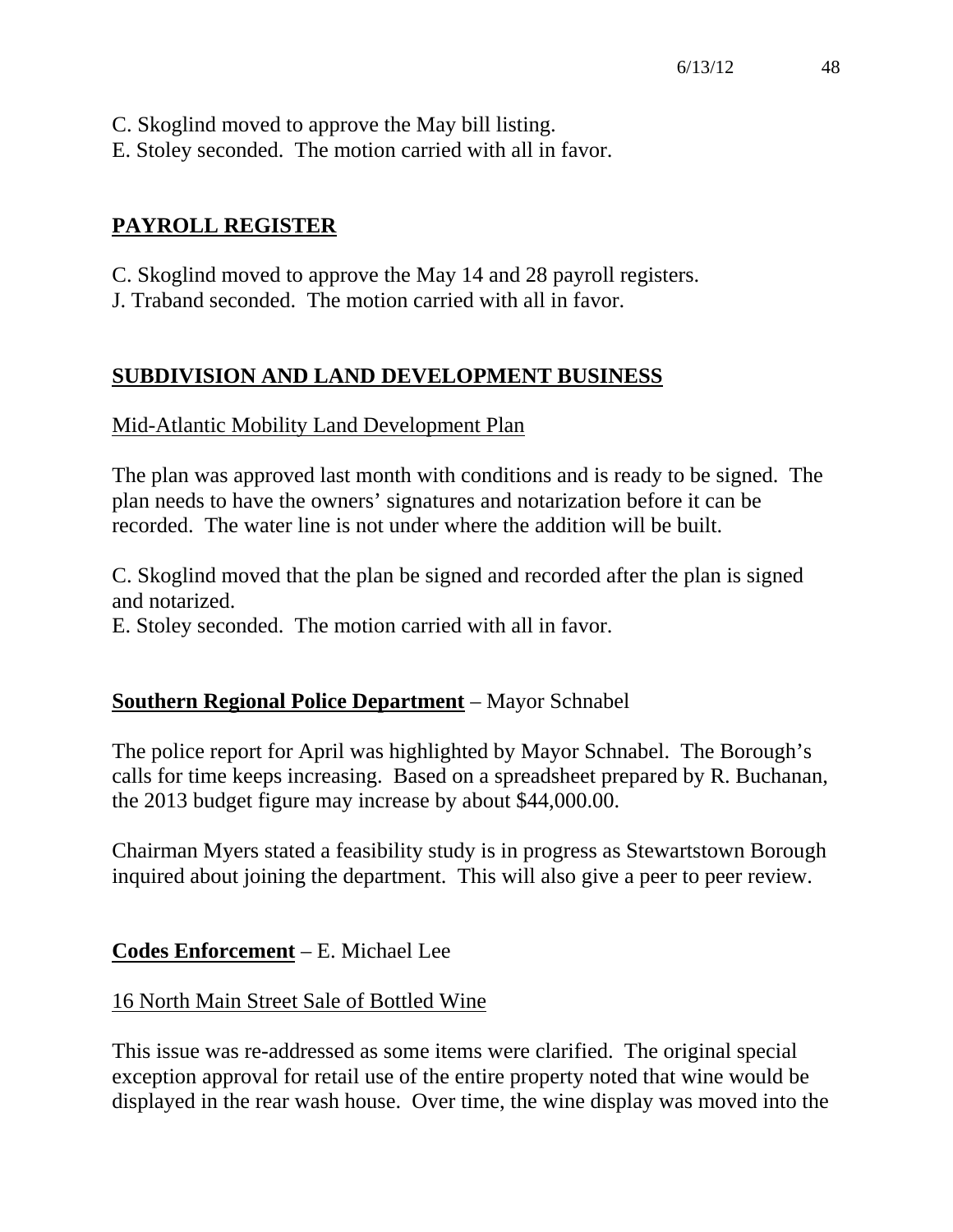- C. Skoglind moved to approve the May bill listing.
- E. Stoley seconded. The motion carried with all in favor.

## **PAYROLL REGISTER**

- C. Skoglind moved to approve the May 14 and 28 payroll registers.
- J. Traband seconded. The motion carried with all in favor.

## **SUBDIVISION AND LAND DEVELOPMENT BUSINESS**

### Mid-Atlantic Mobility Land Development Plan

The plan was approved last month with conditions and is ready to be signed. The plan needs to have the owners' signatures and notarization before it can be recorded. The water line is not under where the addition will be built.

C. Skoglind moved that the plan be signed and recorded after the plan is signed and notarized.

E. Stoley seconded. The motion carried with all in favor.

### **Southern Regional Police Department** – Mayor Schnabel

The police report for April was highlighted by Mayor Schnabel. The Borough's calls for time keeps increasing. Based on a spreadsheet prepared by R. Buchanan, the 2013 budget figure may increase by about \$44,000.00.

Chairman Myers stated a feasibility study is in progress as Stewartstown Borough inquired about joining the department. This will also give a peer to peer review.

### **Codes Enforcement** – E. Michael Lee

### 16 North Main Street Sale of Bottled Wine

This issue was re-addressed as some items were clarified. The original special exception approval for retail use of the entire property noted that wine would be displayed in the rear wash house. Over time, the wine display was moved into the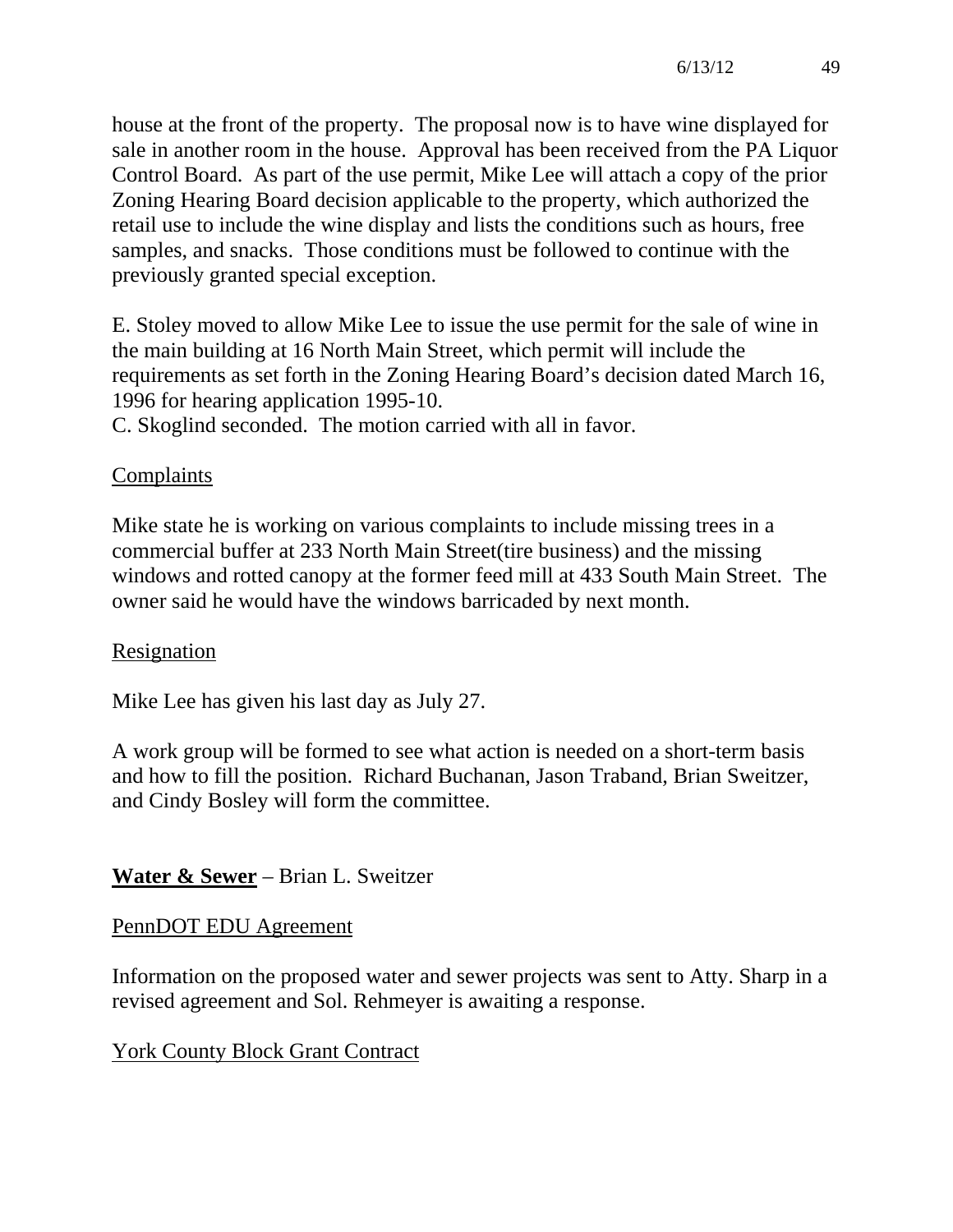house at the front of the property. The proposal now is to have wine displayed for sale in another room in the house. Approval has been received from the PA Liquor Control Board. As part of the use permit, Mike Lee will attach a copy of the prior Zoning Hearing Board decision applicable to the property, which authorized the retail use to include the wine display and lists the conditions such as hours, free samples, and snacks. Those conditions must be followed to continue with the previously granted special exception.

E. Stoley moved to allow Mike Lee to issue the use permit for the sale of wine in the main building at 16 North Main Street, which permit will include the requirements as set forth in the Zoning Hearing Board's decision dated March 16, 1996 for hearing application 1995-10.

C. Skoglind seconded. The motion carried with all in favor.

## **Complaints**

Mike state he is working on various complaints to include missing trees in a commercial buffer at 233 North Main Street(tire business) and the missing windows and rotted canopy at the former feed mill at 433 South Main Street. The owner said he would have the windows barricaded by next month.

## Resignation

Mike Lee has given his last day as July 27.

A work group will be formed to see what action is needed on a short-term basis and how to fill the position. Richard Buchanan, Jason Traband, Brian Sweitzer, and Cindy Bosley will form the committee.

# **Water & Sewer** – Brian L. Sweitzer

## PennDOT EDU Agreement

Information on the proposed water and sewer projects was sent to Atty. Sharp in a revised agreement and Sol. Rehmeyer is awaiting a response.

# York County Block Grant Contract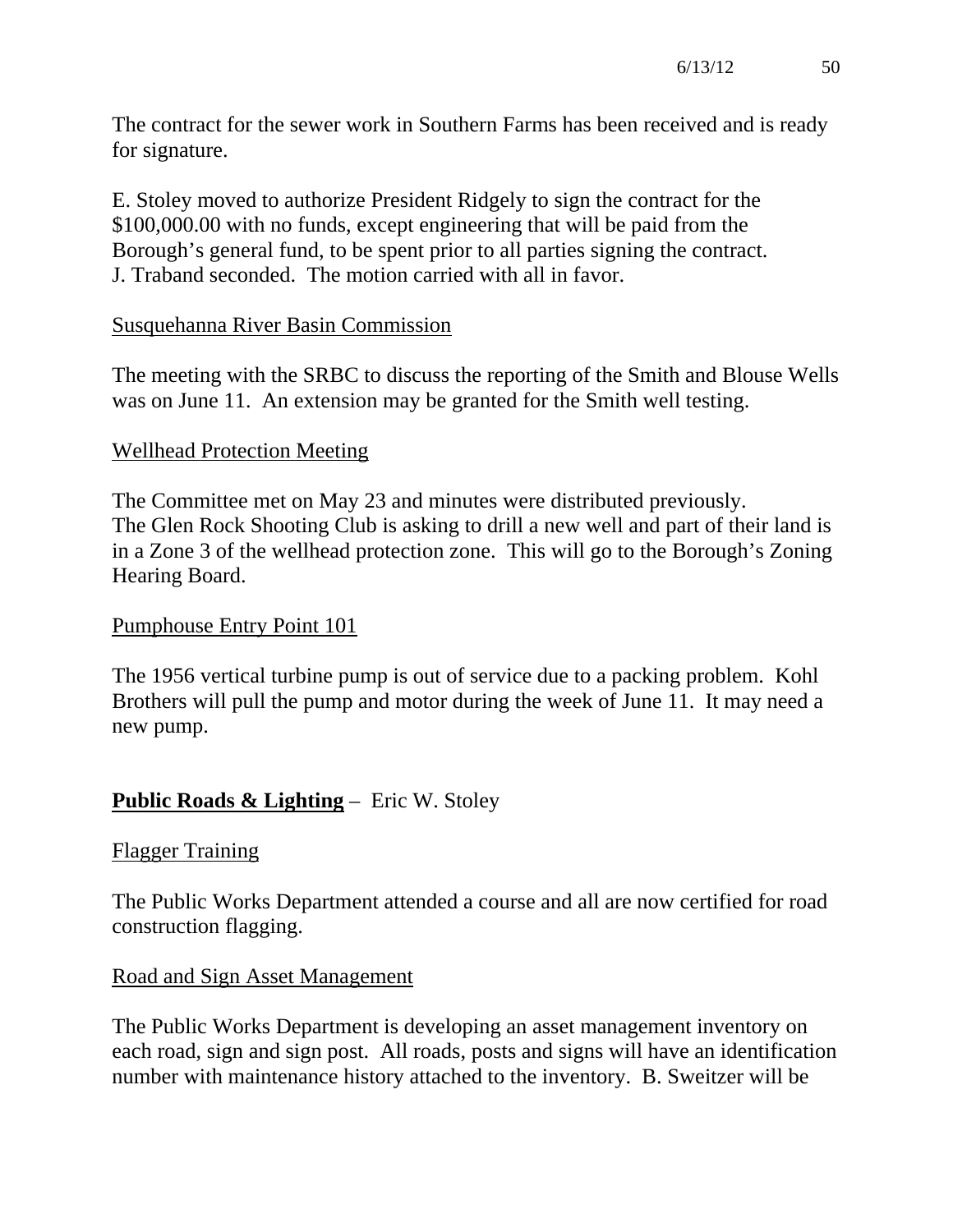The contract for the sewer work in Southern Farms has been received and is ready for signature.

E. Stoley moved to authorize President Ridgely to sign the contract for the \$100,000.00 with no funds, except engineering that will be paid from the Borough's general fund, to be spent prior to all parties signing the contract. J. Traband seconded. The motion carried with all in favor.

### Susquehanna River Basin Commission

The meeting with the SRBC to discuss the reporting of the Smith and Blouse Wells was on June 11. An extension may be granted for the Smith well testing.

### Wellhead Protection Meeting

The Committee met on May 23 and minutes were distributed previously. The Glen Rock Shooting Club is asking to drill a new well and part of their land is in a Zone 3 of the wellhead protection zone. This will go to the Borough's Zoning Hearing Board.

### Pumphouse Entry Point 101

The 1956 vertical turbine pump is out of service due to a packing problem. Kohl Brothers will pull the pump and motor during the week of June 11. It may need a new pump.

## **Public Roads & Lighting** – Eric W. Stoley

### Flagger Training

The Public Works Department attended a course and all are now certified for road construction flagging.

### Road and Sign Asset Management

The Public Works Department is developing an asset management inventory on each road, sign and sign post. All roads, posts and signs will have an identification number with maintenance history attached to the inventory. B. Sweitzer will be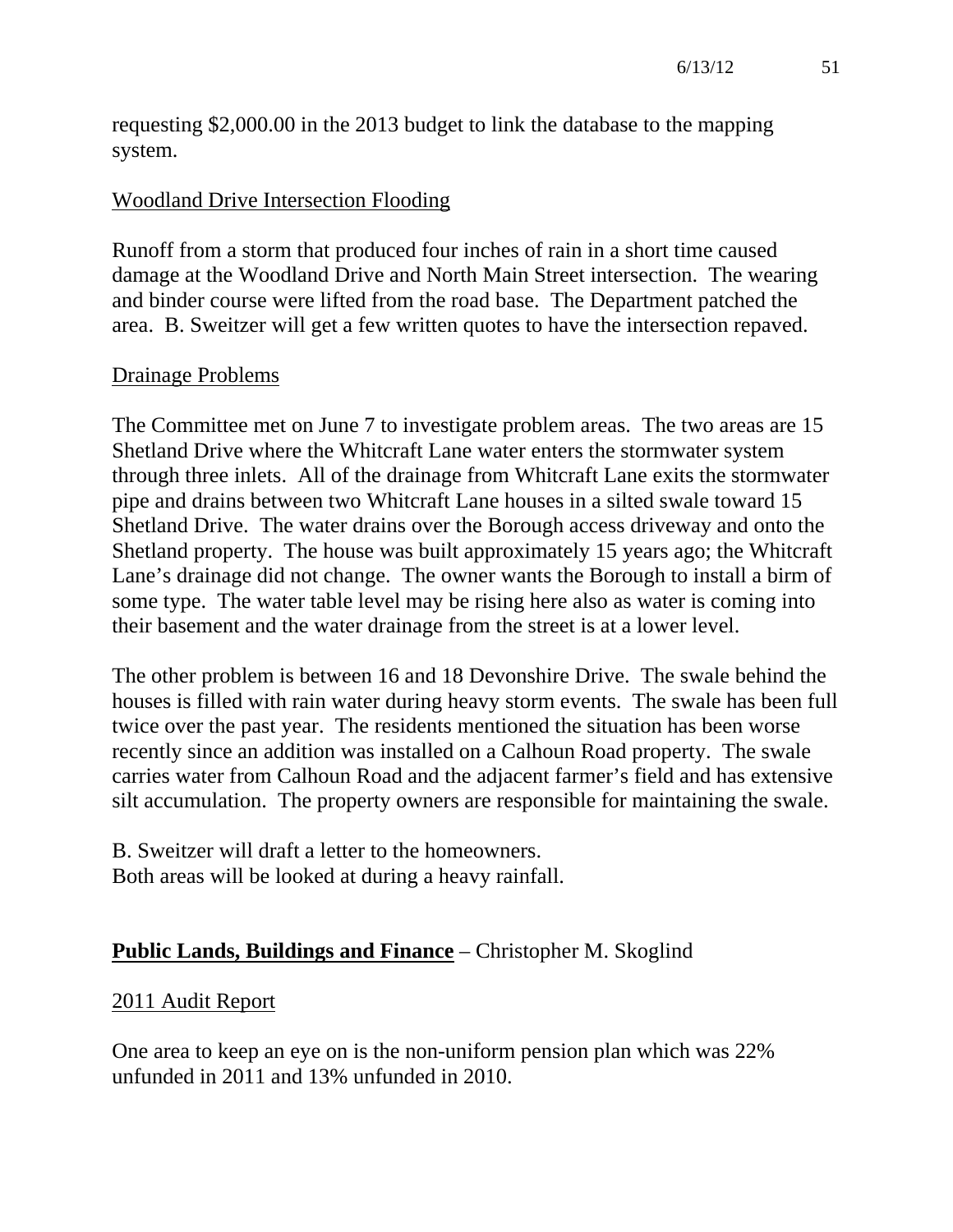requesting \$2,000.00 in the 2013 budget to link the database to the mapping system.

#### Woodland Drive Intersection Flooding

Runoff from a storm that produced four inches of rain in a short time caused damage at the Woodland Drive and North Main Street intersection. The wearing and binder course were lifted from the road base. The Department patched the area. B. Sweitzer will get a few written quotes to have the intersection repaved.

#### Drainage Problems

The Committee met on June 7 to investigate problem areas. The two areas are 15 Shetland Drive where the Whitcraft Lane water enters the stormwater system through three inlets. All of the drainage from Whitcraft Lane exits the stormwater pipe and drains between two Whitcraft Lane houses in a silted swale toward 15 Shetland Drive. The water drains over the Borough access driveway and onto the Shetland property. The house was built approximately 15 years ago; the Whitcraft Lane's drainage did not change. The owner wants the Borough to install a birm of some type. The water table level may be rising here also as water is coming into their basement and the water drainage from the street is at a lower level.

The other problem is between 16 and 18 Devonshire Drive. The swale behind the houses is filled with rain water during heavy storm events. The swale has been full twice over the past year. The residents mentioned the situation has been worse recently since an addition was installed on a Calhoun Road property. The swale carries water from Calhoun Road and the adjacent farmer's field and has extensive silt accumulation. The property owners are responsible for maintaining the swale.

B. Sweitzer will draft a letter to the homeowners. Both areas will be looked at during a heavy rainfall.

### **Public Lands, Buildings and Finance** – Christopher M. Skoglind

#### 2011 Audit Report

One area to keep an eye on is the non-uniform pension plan which was 22% unfunded in 2011 and 13% unfunded in 2010.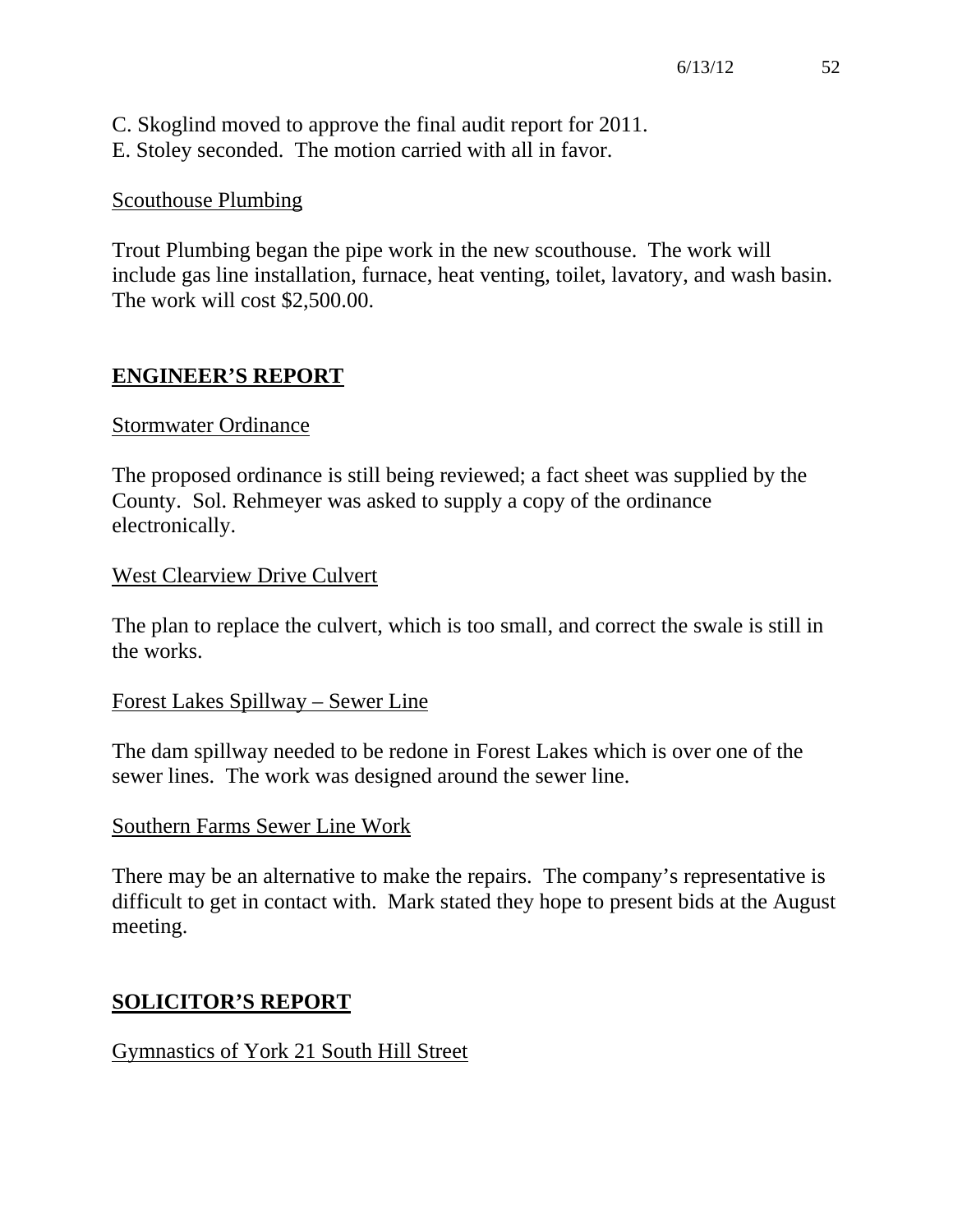C. Skoglind moved to approve the final audit report for 2011. E. Stoley seconded. The motion carried with all in favor.

#### Scouthouse Plumbing

Trout Plumbing began the pipe work in the new scouthouse. The work will include gas line installation, furnace, heat venting, toilet, lavatory, and wash basin. The work will cost \$2,500.00.

### **ENGINEER'S REPORT**

#### Stormwater Ordinance

The proposed ordinance is still being reviewed; a fact sheet was supplied by the County. Sol. Rehmeyer was asked to supply a copy of the ordinance electronically.

#### West Clearview Drive Culvert

The plan to replace the culvert, which is too small, and correct the swale is still in the works.

#### Forest Lakes Spillway – Sewer Line

The dam spillway needed to be redone in Forest Lakes which is over one of the sewer lines. The work was designed around the sewer line.

#### Southern Farms Sewer Line Work

There may be an alternative to make the repairs. The company's representative is difficult to get in contact with. Mark stated they hope to present bids at the August meeting.

#### **SOLICITOR'S REPORT**

#### Gymnastics of York 21 South Hill Street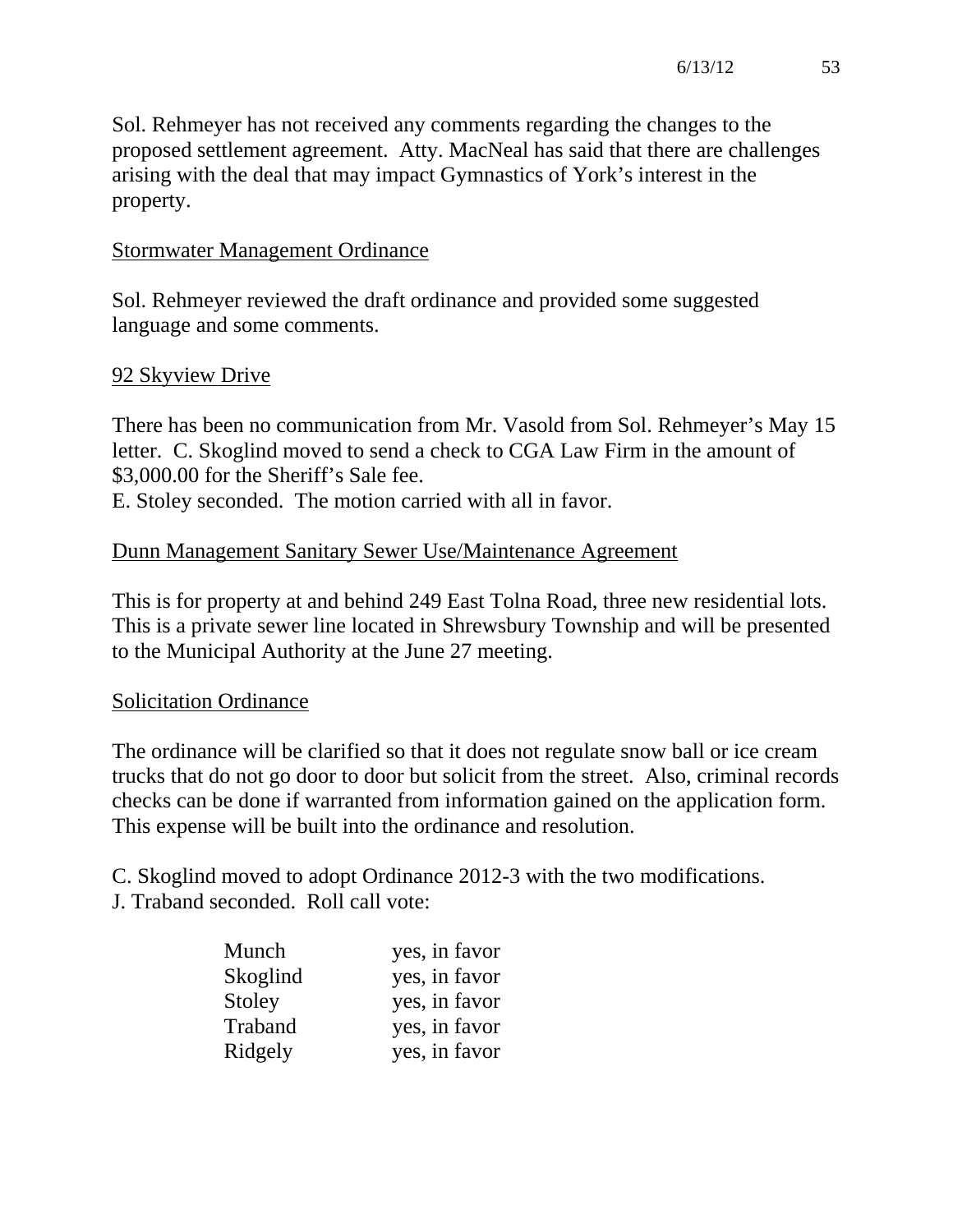Sol. Rehmeyer has not received any comments regarding the changes to the proposed settlement agreement. Atty. MacNeal has said that there are challenges arising with the deal that may impact Gymnastics of York's interest in the property.

## Stormwater Management Ordinance

Sol. Rehmeyer reviewed the draft ordinance and provided some suggested language and some comments.

## 92 Skyview Drive

There has been no communication from Mr. Vasold from Sol. Rehmeyer's May 15 letter. C. Skoglind moved to send a check to CGA Law Firm in the amount of \$3,000.00 for the Sheriff's Sale fee.

E. Stoley seconded. The motion carried with all in favor.

## Dunn Management Sanitary Sewer Use/Maintenance Agreement

This is for property at and behind 249 East Tolna Road, three new residential lots. This is a private sewer line located in Shrewsbury Township and will be presented to the Municipal Authority at the June 27 meeting.

### Solicitation Ordinance

The ordinance will be clarified so that it does not regulate snow ball or ice cream trucks that do not go door to door but solicit from the street. Also, criminal records checks can be done if warranted from information gained on the application form. This expense will be built into the ordinance and resolution.

C. Skoglind moved to adopt Ordinance 2012-3 with the two modifications. J. Traband seconded. Roll call vote:

| Munch    | yes, in favor |
|----------|---------------|
| Skoglind | yes, in favor |
| Stoley   | yes, in favor |
| Traband  | yes, in favor |
| Ridgely  | yes, in favor |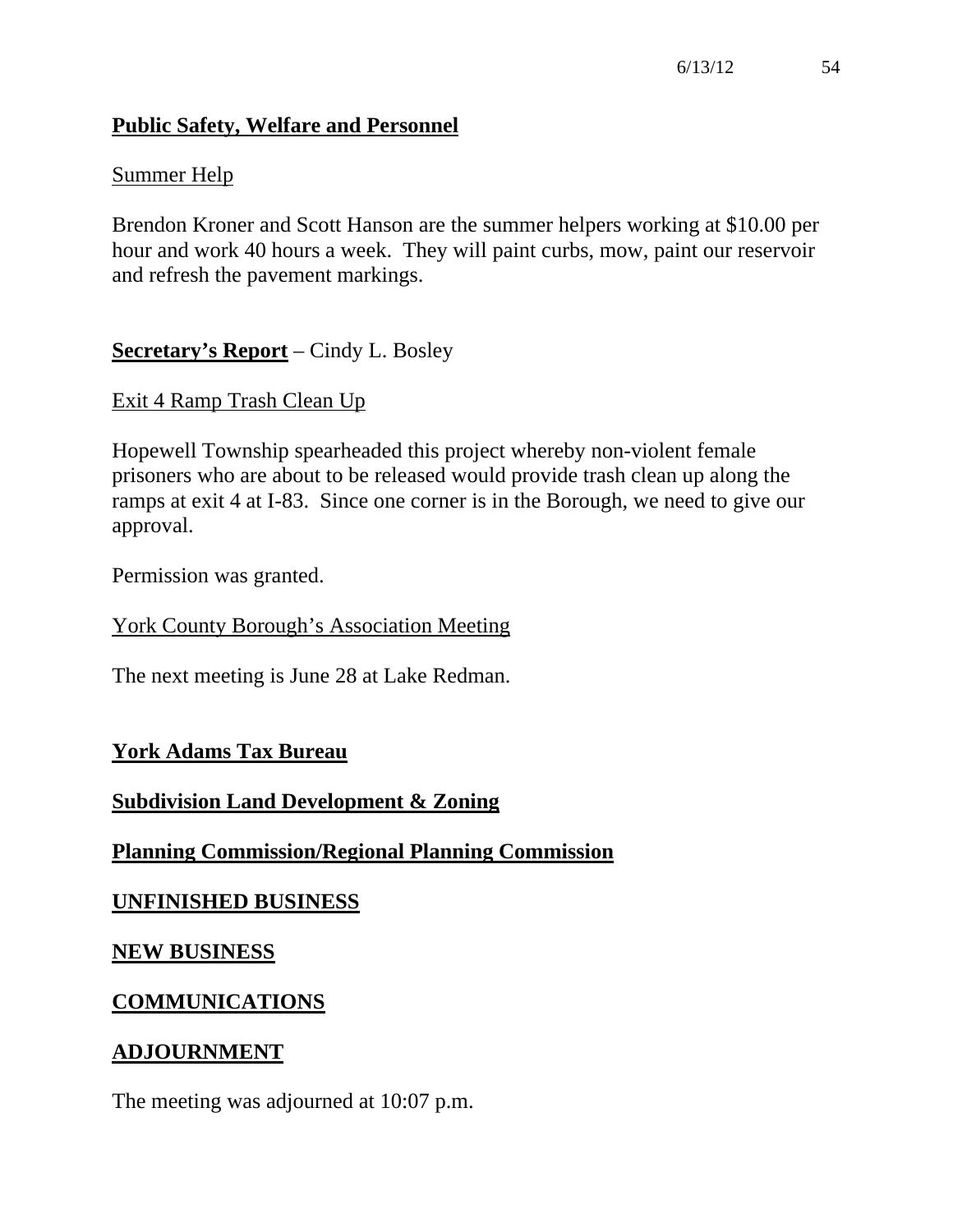## **Public Safety, Welfare and Personnel**

### Summer Help

Brendon Kroner and Scott Hanson are the summer helpers working at \$10.00 per hour and work 40 hours a week. They will paint curbs, mow, paint our reservoir and refresh the pavement markings.

## **Secretary's Report** – Cindy L. Bosley

Exit 4 Ramp Trash Clean Up

Hopewell Township spearheaded this project whereby non-violent female prisoners who are about to be released would provide trash clean up along the ramps at exit 4 at I-83. Since one corner is in the Borough, we need to give our approval.

Permission was granted.

York County Borough's Association Meeting

The next meeting is June 28 at Lake Redman.

### **York Adams Tax Bureau**

### **Subdivision Land Development & Zoning**

## **Planning Commission/Regional Planning Commission**

### **UNFINISHED BUSINESS**

### **NEW BUSINESS**

### **COMMUNICATIONS**

### **ADJOURNMENT**

The meeting was adjourned at 10:07 p.m.